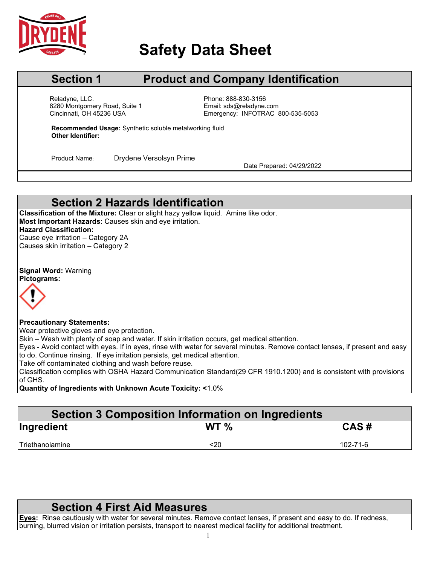

# **Safety Data Sheet**

## **Section 1 Product and Company Identification**

Cincinnati, OH 45236 USA Reladyne, LLC.<br>
8280 Montgomery Road, Suite 1 entitled by Phone: 888-830-3156<br>
Email: sds@reladyne.com 8280 Montgomery Road, Suite 1

Emergency: INFOTRAC 800-535-5053

**Recommended Usage:** Synthetic soluble metalworking fluid **Other Identifier:**

Product Name: Drydene Versolsyn Prime<br>Date Prepared: 04/29/2022

### **Section 2 Hazards Identification**

**Classification of the Mixture:** Clear or slight hazy yellow liquid. Amine like odor. **Most Important Hazards**: Causes skin and eye irritation. **Hazard Classification:** Cause eye irritation – Category 2A

Causes skin irritation – Category 2

**Signal Word:** Warning **Pictograms:**



### **Precautionary Statements:**

Wear protective gloves and eye protection.

Skin – Wash with plenty of soap and water. If skin irritation occurs, get medical attention.

Eyes - Avoid contact with eyes. If in eyes, rinse with water for several minutes. Remove contact lenses, if present and easy to do. Continue rinsing. If eye irritation persists, get medical attention.

Take off contaminated clothing and wash before reuse.

Classification complies with OSHA Hazard Communication Standard(29 CFR 1910.1200) and is consistent with provisions of GHS.

**Quantity of Ingredients with Unknown Acute Toxicity: <**1.0%

# **Section 3 Composition Information on Ingredients**

| Ingredient      | WT <sub>%</sub> | CAS#     |
|-----------------|-----------------|----------|
| Triethanolamine | <20             | 102-71-6 |
|                 |                 |          |

### **Section 4 First Aid Measures**

**Eyes:** Rinse cautiously with water for several minutes. Remove contact lenses, if present and easy to do. If redness, burning, blurred vision or irritation persists, transport to nearest medical facility for additional treatment.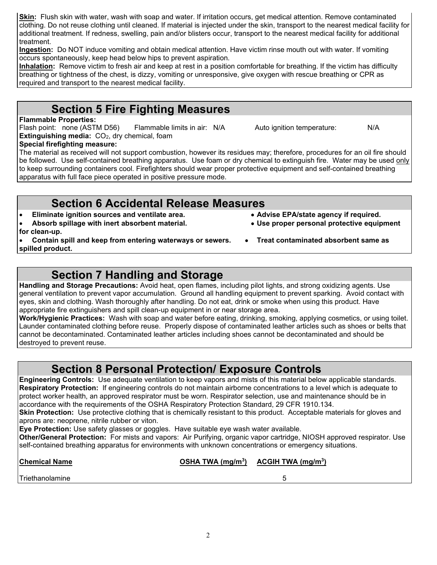**Skin:** Flush skin with water, wash with soap and water. If irritation occurs, get medical attention. Remove contaminated clothing. Do not reuse clothing until cleaned. If material is injected under the skin, transport to the nearest medical facility for additional treatment. If redness, swelling, pain and/or blisters occur, transport to the nearest medical facility for additional treatment.

**Ingestion:** Do NOT induce vomiting and obtain medical attention. Have victim rinse mouth out with water. If vomiting occurs spontaneously, keep head below hips to prevent aspiration.

**Inhalation:** Remove victim to fresh air and keep at rest in a position comfortable for breathing. If the victim has difficulty breathing or tightness of the chest, is dizzy, vomiting or unresponsive, give oxygen with rescue breathing or CPR as required and transport to the nearest medical facility.

### **Section 5 Fire Fighting Measures**

**Flammable Properties:** 

Flash point: none (ASTM D56) Flammable limits in air: N/A Auto ignition temperature: N/A **Extinguishing media:** CO<sub>2</sub>, dry chemical, foam **Special firefighting measure:**

The material as received will not support combustion, however its residues may; therefore, procedures for an oil fire should be followed. Use self-contained breathing apparatus. Use foam or dry chemical to extinguish fire. Water may be used only to keep surrounding containers cool. Firefighters should wear proper protective equipment and self-contained breathing apparatus with full face piece operated in positive pressure mode.

### **Section 6 Accidental Release Measures**

- **Eliminate ignition sources and ventilate area. Advise EPA/state agency if required.**
- Absorb spillage with inert absorbent material.
- **for clean-up.**
- **Contain spill and keep from entering waterways or sewers. Treat contaminated absorbent same as spilled product.**
	- **Section 7 Handling and Storage**

**Handling and Storage Precautions:** Avoid heat, open flames, including pilot lights, and strong oxidizing agents. Use general ventilation to prevent vapor accumulation. Ground all handling equipment to prevent sparking. Avoid contact with eyes, skin and clothing. Wash thoroughly after handling. Do not eat, drink or smoke when using this product. Have appropriate fire extinguishers and spill clean-up equipment in or near storage area.

**Work/Hygienic Practices:** Wash with soap and water before eating, drinking, smoking, applying cosmetics, or using toilet. Launder contaminated clothing before reuse. Properly dispose of contaminated leather articles such as shoes or belts that cannot be decontaminated. Contaminated leather articles including shoes cannot be decontaminated and should be destroyed to prevent reuse.

### **Section 8 Personal Protection/ Exposure Controls**

**Engineering Controls:** Use adequate ventilation to keep vapors and mists of this material below applicable standards. **Respiratory Protection:** If engineering controls do not maintain airborne concentrations to a level which is adequate to protect worker health, an approved respirator must be worn. Respirator selection, use and maintenance should be in accordance with the requirements of the OSHA Respiratory Protection Standard, 29 CFR 1910.134.

**Skin Protection:** Use protective clothing that is chemically resistant to this product. Acceptable materials for gloves and aprons are: neoprene, nitrile rubber or viton.

**Eye Protection:** Use safety glasses or goggles. Have suitable eye wash water available.

**Other/General Protection:** For mists and vapors: Air Purifying, organic vapor cartridge, NIOSH approved respirator. Use self-contained breathing apparatus for environments with unknown concentrations or emergency situations.

| <b>Chemical Name</b> | OSHA TWA $(mg/m3)$ ACGIH TWA $(mg/m3)$ |  |
|----------------------|----------------------------------------|--|
| Triethanolamine      |                                        |  |

- 
-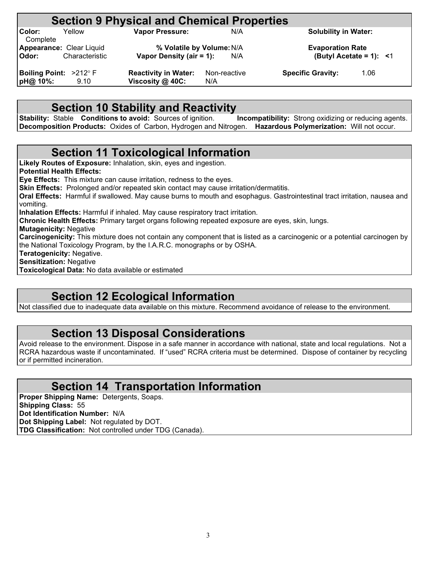# **Section 9 Physical and Chemical Properties**<br>
Vapor Pressure:<br>
N/A

**Color:** Yellow **Vapor Pressure:** N/A **Solubility in Water: Complete** 

**Appearance:** Clear Liquid **% Volatile by Volume:**N/A **Evaporation Rate Vapor Density (air = 1):** 

**Boiling Point:**  $>212^{\circ}$  **F Reactivity in Water:** Non-reactive **Specific Gravity:** 1.06 **pH@ 10%:** 9.10 **Viscosity @ 40C:** N/A

**pH@ 10%:** 9.10 **Viscosity @ 40C:** N/A

### **Section 10 Stability and Reactivity**

**Stability:** Stable **Conditions to avoid:** Sources of ignition. **Incompatibility:** Strong oxidizing or reducing agents. **Decomposition Products:** Oxides of Carbon, Hydrogen and Nitrogen. **Hazardous Polymerization:** Will not occur.

### **Section 11 Toxicological Information**

**Likely Routes of Exposure:** Inhalation, skin, eyes and ingestion. **Potential Health Effects: Eye Effects:** This mixture can cause irritation, redness to the eyes. **Skin Effects:** Prolonged and/or repeated skin contact may cause irritation/dermatitis. **Oral Effects:** Harmful if swallowed. May cause burns to mouth and esophagus. Gastrointestinal tract irritation, nausea and vomiting. **Inhalation Effects:** Harmful if inhaled. May cause respiratory tract irritation. **Chronic Health Effects:** Primary target organs following repeated exposure are eyes, skin, lungs. **Mutagenicity:** Negative **Carcinogenicity:** This mixture does not contain any component that is listed as a carcinogenic or a potential carcinogen by the National Toxicology Program, by the I.A.R.C. monographs or by OSHA. **Teratogenicity:** Negative. **Sensitization:** Negative **Toxicological Data:** No data available or estimated

### **Section 12 Ecological Information**

Not classified due to inadequate data available on this mixture. Recommend avoidance of release to the environment.

### **Section 13 Disposal Considerations**

Avoid release to the environment. Dispose in a safe manner in accordance with national, state and local regulations. Not a RCRA hazardous waste if uncontaminated. If "used" RCRA criteria must be determined. Dispose of container by recycling or if permitted incineration.

### **Section 14 Transportation Information**

**Proper Shipping Name:** Detergents, Soaps. **Shipping Class:** 55 **Dot Identification Number:** N/A **Dot Shipping Label:** Not regulated by DOT. **TDG Classification:** Not controlled under TDG (Canada).